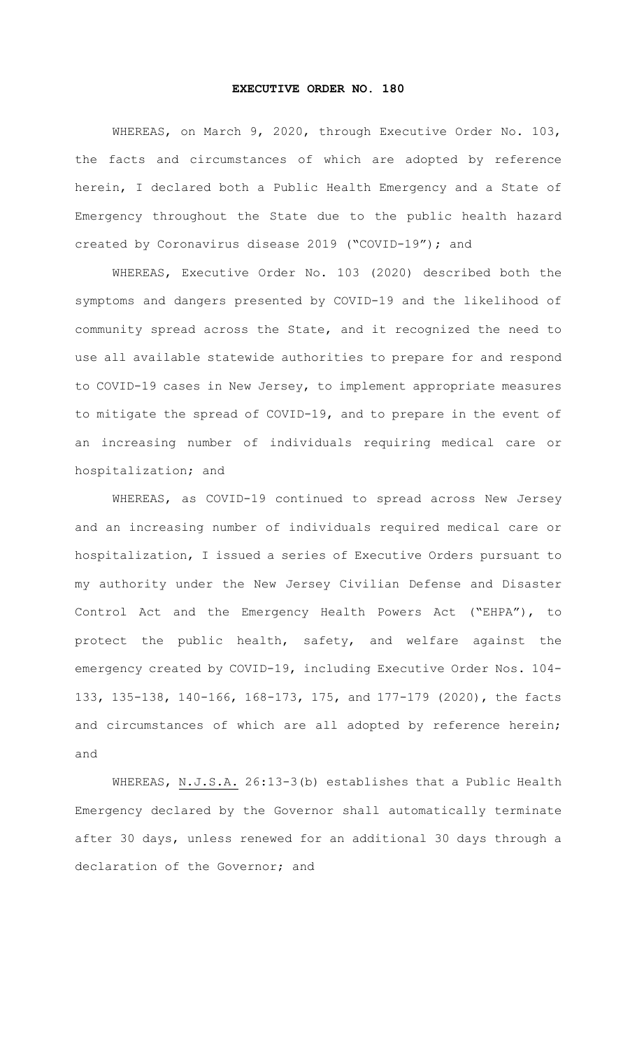## **EXECUTIVE ORDER NO. 180**

WHEREAS, on March 9, 2020, through Executive Order No. 103, the facts and circumstances of which are adopted by reference herein, I declared both a Public Health Emergency and a State of Emergency throughout the State due to the public health hazard created by Coronavirus disease 2019 ("COVID-19"); and

WHEREAS, Executive Order No. 103 (2020) described both the symptoms and dangers presented by COVID-19 and the likelihood of community spread across the State, and it recognized the need to use all available statewide authorities to prepare for and respond to COVID-19 cases in New Jersey, to implement appropriate measures to mitigate the spread of COVID-19, and to prepare in the event of an increasing number of individuals requiring medical care or hospitalization; and

WHEREAS, as COVID-19 continued to spread across New Jersey and an increasing number of individuals required medical care or hospitalization, I issued a series of Executive Orders pursuant to my authority under the New Jersey Civilian Defense and Disaster Control Act and the Emergency Health Powers Act ("EHPA"), to protect the public health, safety, and welfare against the emergency created by COVID-19, including Executive Order Nos. 104- 133, 135-138, 140-166, 168-173, 175, and 177-179 (2020), the facts and circumstances of which are all adopted by reference herein; and

WHEREAS, N.J.S.A. 26:13-3(b) establishes that a Public Health Emergency declared by the Governor shall automatically terminate after 30 days, unless renewed for an additional 30 days through a declaration of the Governor; and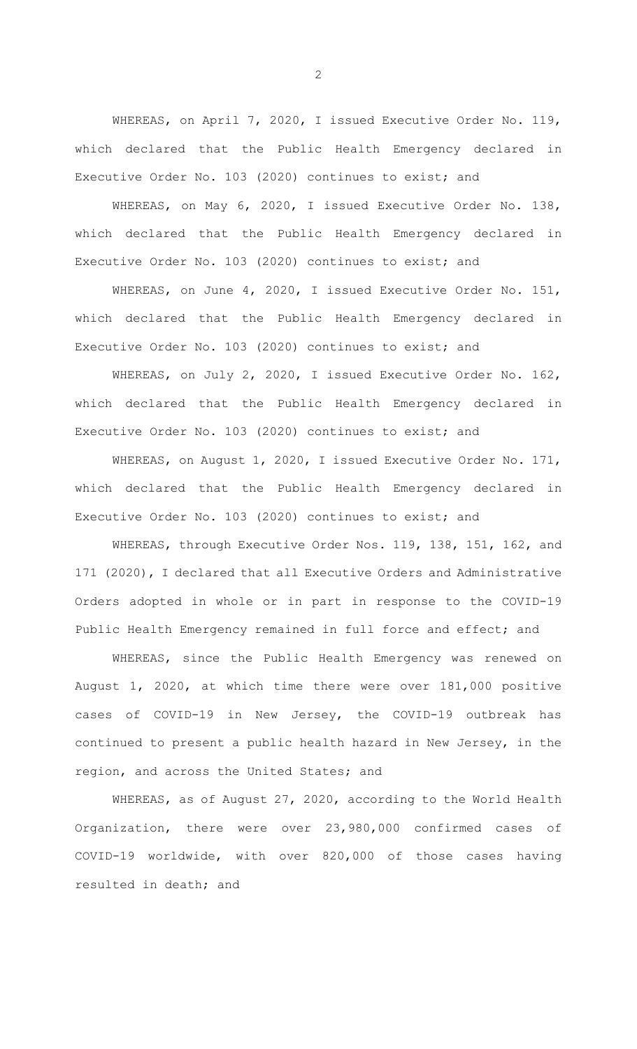WHEREAS, on April 7, 2020, I issued Executive Order No. 119, which declared that the Public Health Emergency declared in Executive Order No. 103 (2020) continues to exist; and

WHEREAS, on May 6, 2020, I issued Executive Order No. 138, which declared that the Public Health Emergency declared in Executive Order No. 103 (2020) continues to exist; and

WHEREAS, on June 4, 2020, I issued Executive Order No. 151, which declared that the Public Health Emergency declared in Executive Order No. 103 (2020) continues to exist; and

WHEREAS, on July 2, 2020, I issued Executive Order No. 162, which declared that the Public Health Emergency declared in Executive Order No. 103 (2020) continues to exist; and

WHEREAS, on August 1, 2020, I issued Executive Order No. 171, which declared that the Public Health Emergency declared in Executive Order No. 103 (2020) continues to exist; and

WHEREAS, through Executive Order Nos. 119, 138, 151, 162, and 171 (2020), I declared that all Executive Orders and Administrative Orders adopted in whole or in part in response to the COVID-19 Public Health Emergency remained in full force and effect; and

WHEREAS, since the Public Health Emergency was renewed on August 1, 2020, at which time there were over 181,000 positive cases of COVID-19 in New Jersey, the COVID-19 outbreak has continued to present a public health hazard in New Jersey, in the region, and across the United States; and

WHEREAS, as of August 27, 2020, according to the World Health Organization, there were over 23,980,000 confirmed cases of COVID-19 worldwide, with over 820,000 of those cases having resulted in death; and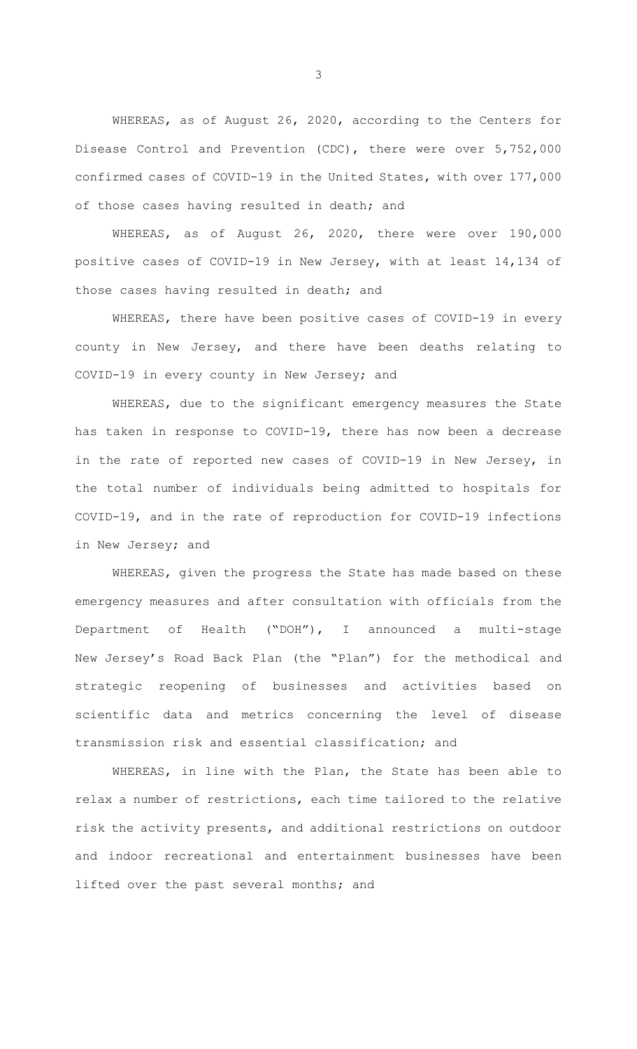WHEREAS, as of August 26, 2020, according to the Centers for Disease Control and Prevention (CDC), there were over 5,752,000 confirmed cases of COVID-19 in the United States, with over 177,000 of those cases having resulted in death; and

WHEREAS, as of August 26, 2020, there were over 190,000 positive cases of COVID-19 in New Jersey, with at least 14,134 of those cases having resulted in death; and

WHEREAS, there have been positive cases of COVID-19 in every county in New Jersey, and there have been deaths relating to COVID-19 in every county in New Jersey; and

WHEREAS, due to the significant emergency measures the State has taken in response to COVID-19, there has now been a decrease in the rate of reported new cases of COVID-19 in New Jersey, in the total number of individuals being admitted to hospitals for COVID-19, and in the rate of reproduction for COVID-19 infections in New Jersey; and

WHEREAS, given the progress the State has made based on these emergency measures and after consultation with officials from the Department of Health ("DOH"), I announced a multi-stage New Jersey's Road Back Plan (the "Plan") for the methodical and strategic reopening of businesses and activities based on scientific data and metrics concerning the level of disease transmission risk and essential classification; and

WHEREAS, in line with the Plan, the State has been able to relax a number of restrictions, each time tailored to the relative risk the activity presents, and additional restrictions on outdoor and indoor recreational and entertainment businesses have been lifted over the past several months; and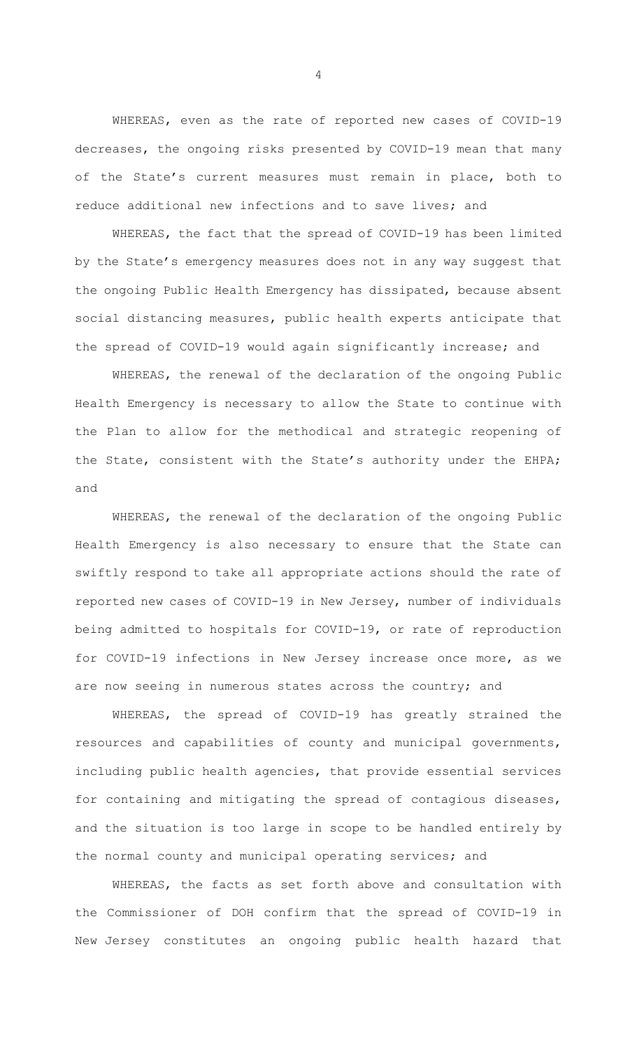WHEREAS, even as the rate of reported new cases of COVID-19 decreases, the ongoing risks presented by COVID-19 mean that many of the State's current measures must remain in place, both to reduce additional new infections and to save lives; and

WHEREAS, the fact that the spread of COVID-19 has been limited by the State's emergency measures does not in any way suggest that the ongoing Public Health Emergency has dissipated, because absent social distancing measures, public health experts anticipate that the spread of COVID-19 would again significantly increase; and

WHEREAS, the renewal of the declaration of the ongoing Public Health Emergency is necessary to allow the State to continue with the Plan to allow for the methodical and strategic reopening of the State, consistent with the State's authority under the EHPA; and

WHEREAS, the renewal of the declaration of the ongoing Public Health Emergency is also necessary to ensure that the State can swiftly respond to take all appropriate actions should the rate of reported new cases of COVID-19 in New Jersey, number of individuals being admitted to hospitals for COVID-19, or rate of reproduction for COVID-19 infections in New Jersey increase once more, as we are now seeing in numerous states across the country; and

WHEREAS, the spread of COVID-19 has greatly strained the resources and capabilities of county and municipal governments, including public health agencies, that provide essential services for containing and mitigating the spread of contagious diseases, and the situation is too large in scope to be handled entirely by the normal county and municipal operating services; and

WHEREAS, the facts as set forth above and consultation with the Commissioner of DOH confirm that the spread of COVID-19 in New Jersey constitutes an ongoing public health hazard that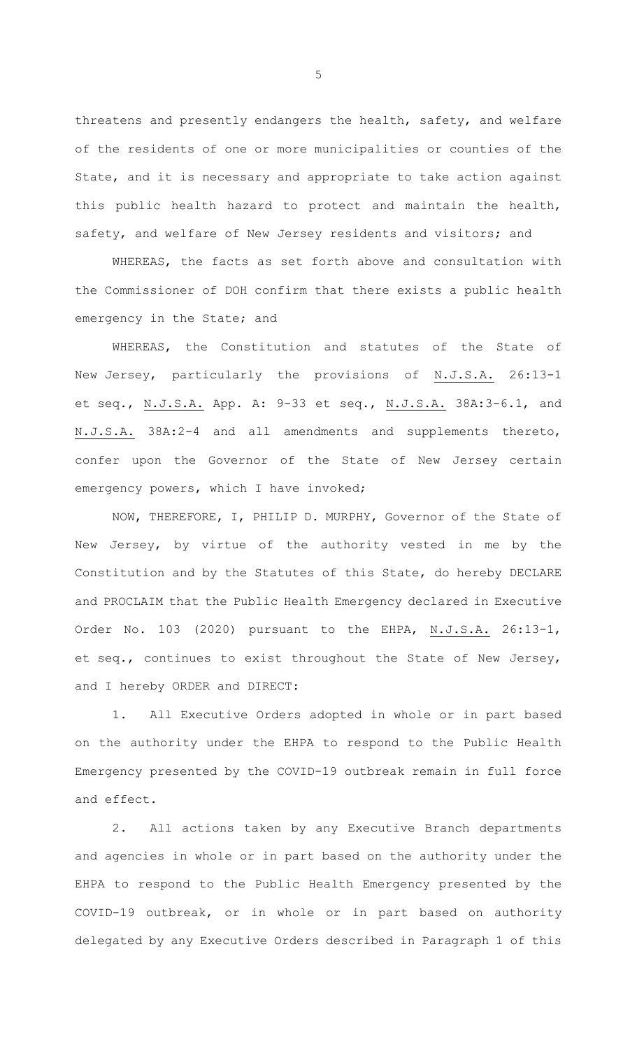threatens and presently endangers the health, safety, and welfare of the residents of one or more municipalities or counties of the State, and it is necessary and appropriate to take action against this public health hazard to protect and maintain the health, safety, and welfare of New Jersey residents and visitors; and

WHEREAS, the facts as set forth above and consultation with the Commissioner of DOH confirm that there exists a public health emergency in the State; and

WHEREAS, the Constitution and statutes of the State of New Jersey, particularly the provisions of N.J.S.A. 26:13-1 et seq., N.J.S.A. App. A: 9-33 et seq., N.J.S.A. 38A:3-6.1, and N.J.S.A. 38A:2-4 and all amendments and supplements thereto, confer upon the Governor of the State of New Jersey certain emergency powers, which I have invoked;

NOW, THEREFORE, I, PHILIP D. MURPHY, Governor of the State of New Jersey, by virtue of the authority vested in me by the Constitution and by the Statutes of this State, do hereby DECLARE and PROCLAIM that the Public Health Emergency declared in Executive Order No. 103 (2020) pursuant to the EHPA, N.J.S.A. 26:13-1, et seq., continues to exist throughout the State of New Jersey, and I hereby ORDER and DIRECT:

1. All Executive Orders adopted in whole or in part based on the authority under the EHPA to respond to the Public Health Emergency presented by the COVID-19 outbreak remain in full force and effect.

2. All actions taken by any Executive Branch departments and agencies in whole or in part based on the authority under the EHPA to respond to the Public Health Emergency presented by the COVID-19 outbreak, or in whole or in part based on authority delegated by any Executive Orders described in Paragraph 1 of this